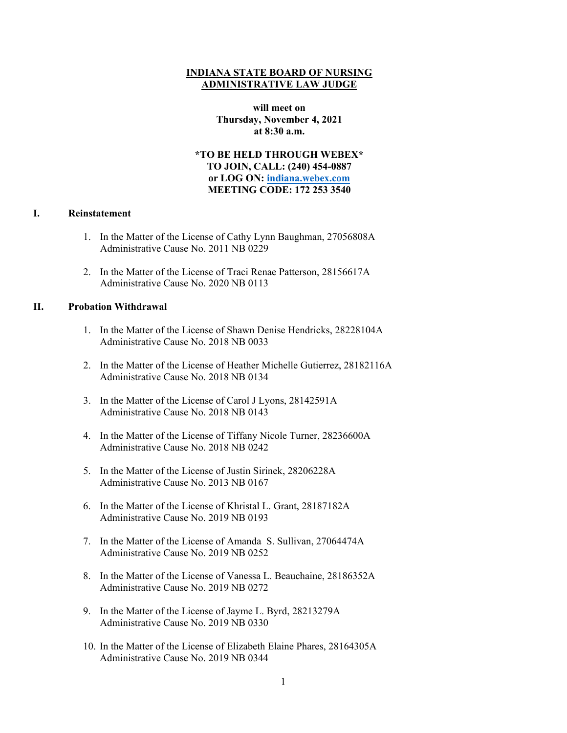# **INDIANA STATE BOARD OF NURSING ADMINISTRATIVE LAW JUDGE**

**will meet on Thursday, November 4, 2021 at 8:30 a.m.**

**\*TO BE HELD THROUGH WEBEX\* TO JOIN, CALL: (240) 454-0887 or LOG ON: [indiana.webex.com](https://indiana.webex.com/webappng/sites/indiana/dashboard?siteurl=indiana) MEETING CODE: 172 253 3540**

## **I. Reinstatement**

- 1. In the Matter of the License of Cathy Lynn Baughman, 27056808A Administrative Cause No. 2011 NB 0229
- 2. In the Matter of the License of Traci Renae Patterson, 28156617A Administrative Cause No. 2020 NB 0113

### **II. Probation Withdrawal**

- 1. In the Matter of the License of Shawn Denise Hendricks, 28228104A Administrative Cause No. 2018 NB 0033
- 2. In the Matter of the License of Heather Michelle Gutierrez, 28182116A Administrative Cause No. 2018 NB 0134
- 3. In the Matter of the License of Carol J Lyons, 28142591A Administrative Cause No. 2018 NB 0143
- 4. In the Matter of the License of Tiffany Nicole Turner, 28236600A Administrative Cause No. 2018 NB 0242
- 5. In the Matter of the License of Justin Sirinek, 28206228A Administrative Cause No. 2013 NB 0167
- 6. In the Matter of the License of Khristal L. Grant, 28187182A Administrative Cause No. 2019 NB 0193
- 7. In the Matter of the License of Amanda S. Sullivan, 27064474A Administrative Cause No. 2019 NB 0252
- 8. In the Matter of the License of Vanessa L. Beauchaine, 28186352A Administrative Cause No. 2019 NB 0272
- 9. In the Matter of the License of Jayme L. Byrd, 28213279A Administrative Cause No. 2019 NB 0330
- 10. In the Matter of the License of Elizabeth Elaine Phares, 28164305A Administrative Cause No. 2019 NB 0344